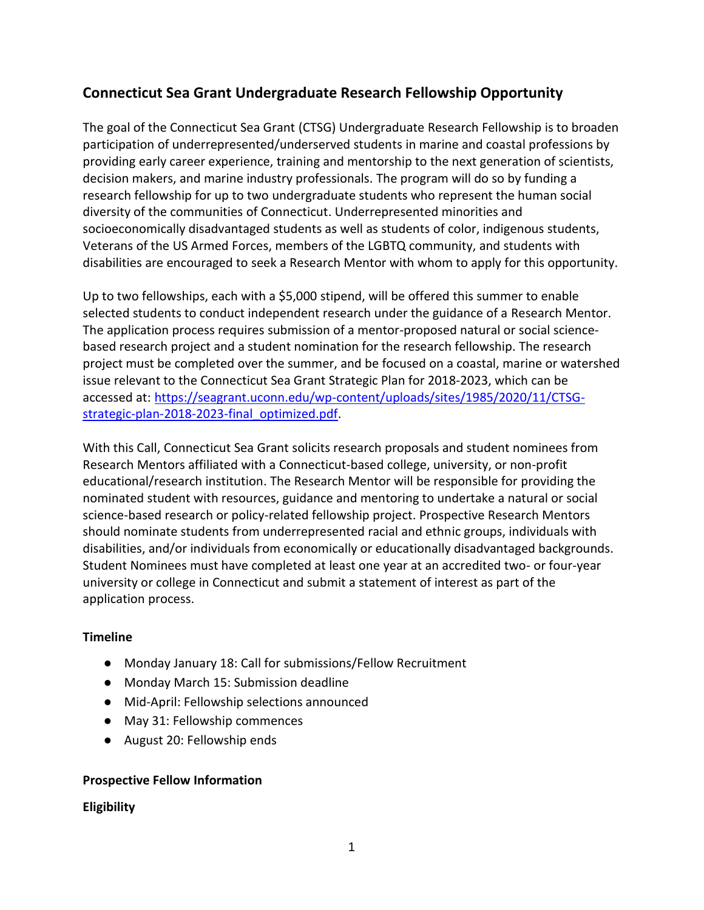# **Connecticut Sea Grant Undergraduate Research Fellowship Opportunity**

The goal of the Connecticut Sea Grant (CTSG) Undergraduate Research Fellowship is to broaden participation of underrepresented/underserved students in marine and coastal professions by providing early career experience, training and mentorship to the next generation of scientists, decision makers, and marine industry professionals. The program will do so by funding a research fellowship for up to two undergraduate students who represent the human social diversity of the communities of Connecticut. Underrepresented minorities and socioeconomically disadvantaged students as well as students of color, indigenous students, Veterans of the US Armed Forces, members of the LGBTQ community, and students with disabilities are encouraged to seek a Research Mentor with whom to apply for this opportunity.

Up to two fellowships, each with a \$5,000 stipend, will be offered this summer to enable selected students to conduct independent research under the guidance of a Research Mentor. The application process requires submission of a mentor-proposed natural or social sciencebased research project and a student nomination for the research fellowship. The research project must be completed over the summer, and be focused on a coastal, marine or watershed issue relevant to the Connecticut Sea Grant Strategic Plan for 2018-2023, which can be accessed at: [https://seagrant.uconn.edu/wp-content/uploads/sites/1985/2020/11/CTSG](https://seagrant.uconn.edu/wp-content/uploads/sites/1985/2020/11/CTSG-strategic-plan-2018-2023-final_optimized.pdf)[strategic-plan-2018-2023-final\\_optimized.pdf.](https://seagrant.uconn.edu/wp-content/uploads/sites/1985/2020/11/CTSG-strategic-plan-2018-2023-final_optimized.pdf)

With this Call, Connecticut Sea Grant solicits research proposals and student nominees from Research Mentors affiliated with a Connecticut-based college, university, or non-profit educational/research institution. The Research Mentor will be responsible for providing the nominated student with resources, guidance and mentoring to undertake a natural or social science-based research or policy-related fellowship project. Prospective Research Mentors should nominate students from underrepresented racial and ethnic groups, individuals with disabilities, and/or individuals from economically or educationally disadvantaged backgrounds. Student Nominees must have completed at least one year at an accredited two- or four-year university or college in Connecticut and submit a statement of interest as part of the application process.

### **Timeline**

- Monday January 18: Call for submissions/Fellow Recruitment
- Monday March 15: Submission deadline
- Mid-April: Fellowship selections announced
- May 31: Fellowship commences
- August 20: Fellowship ends

### **Prospective Fellow Information**

**Eligibility**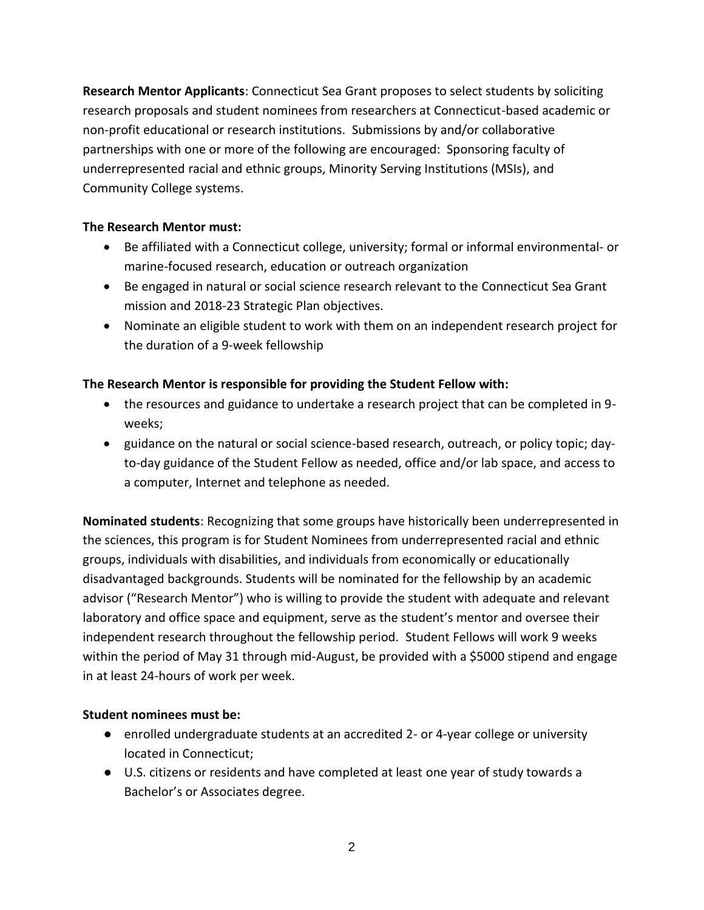**Research Mentor Applicants**: Connecticut Sea Grant proposes to select students by soliciting research proposals and student nominees from researchers at Connecticut-based academic or non-profit educational or research institutions. Submissions by and/or collaborative partnerships with one or more of the following are encouraged: Sponsoring faculty of underrepresented racial and ethnic groups, Minority Serving Institutions (MSIs), and Community College systems.

#### **The Research Mentor must:**

- Be affiliated with a Connecticut college, university; formal or informal environmental- or marine-focused research, education or outreach organization
- Be engaged in natural or social science research relevant to the Connecticut Sea Grant mission and 2018-23 Strategic Plan objectives.
- Nominate an eligible student to work with them on an independent research project for the duration of a 9-week fellowship

### **The Research Mentor is responsible for providing the Student Fellow with:**

- the resources and guidance to undertake a research project that can be completed in 9 weeks;
- guidance on the natural or social science-based research, outreach, or policy topic; dayto-day guidance of the Student Fellow as needed, office and/or lab space, and access to a computer, Internet and telephone as needed.

**Nominated students**: Recognizing that some groups have historically been underrepresented in the sciences, this program is for Student Nominees from underrepresented racial and ethnic groups, individuals with disabilities, and individuals from economically or educationally disadvantaged backgrounds. Students will be nominated for the fellowship by an academic advisor ("Research Mentor") who is willing to provide the student with adequate and relevant laboratory and office space and equipment, serve as the student's mentor and oversee their independent research throughout the fellowship period. Student Fellows will work 9 weeks within the period of May 31 through mid-August, be provided with a \$5000 stipend and engage in at least 24-hours of work per week.

### **Student nominees must be:**

- enrolled undergraduate students at an accredited 2- or 4-year college or university located in Connecticut;
- U.S. citizens or residents and have completed at least one year of study towards a Bachelor's or Associates degree.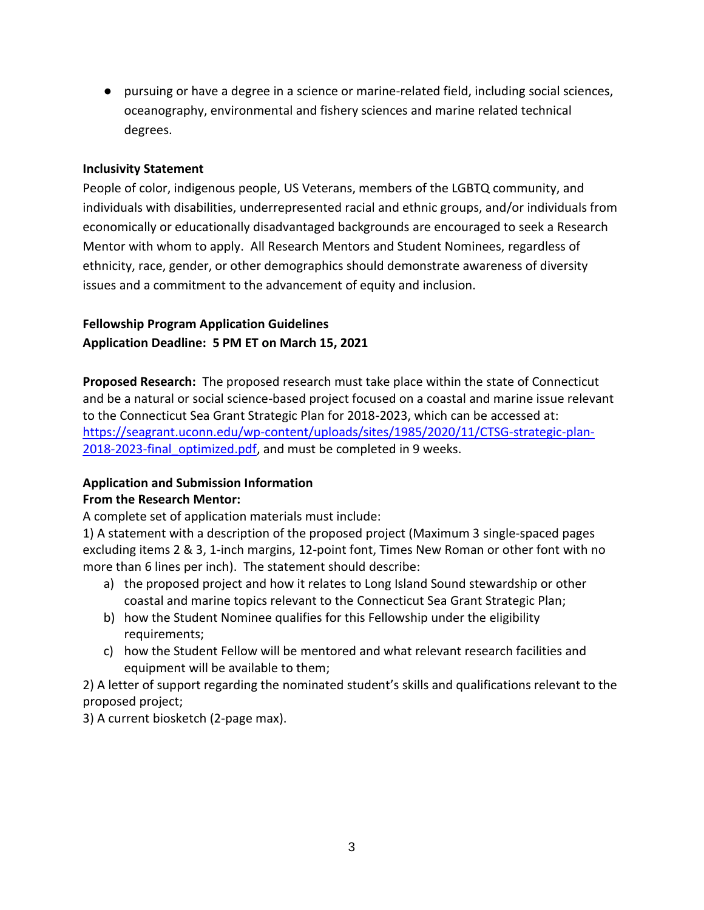● pursuing or have a degree in a science or marine-related field, including social sciences, oceanography, environmental and fishery sciences and marine related technical degrees.

#### **Inclusivity Statement**

People of color, indigenous people, US Veterans, members of the LGBTQ community, and individuals with disabilities, underrepresented racial and ethnic groups, and/or individuals from economically or educationally disadvantaged backgrounds are encouraged to seek a Research Mentor with whom to apply. All Research Mentors and Student Nominees, regardless of ethnicity, race, gender, or other demographics should demonstrate awareness of diversity issues and a commitment to the advancement of equity and inclusion.

## **Fellowship Program Application Guidelines Application Deadline: 5 PM ET on March 15, 2021**

**Proposed Research:** The proposed research must take place within the state of Connecticut and be a natural or social science-based project focused on a coastal and marine issue relevant to the Connecticut Sea Grant Strategic Plan for 2018-2023, which can be accessed at: [https://seagrant.uconn.edu/wp-content/uploads/sites/1985/2020/11/CTSG-strategic-plan-](https://seagrant.uconn.edu/wp-content/uploads/sites/1985/2020/11/CTSG-strategic-plan-2018-2023-final_optimized.pdf)2018-2023-final optimized.pdf, and must be completed in 9 weeks.

### **Application and Submission Information**

### **From the Research Mentor:**

A complete set of application materials must include:

1) A statement with a description of the proposed project (Maximum 3 single-spaced pages excluding items 2 & 3, 1-inch margins, 12-point font, Times New Roman or other font with no more than 6 lines per inch). The statement should describe:

- a) the proposed project and how it relates to Long Island Sound stewardship or other coastal and marine topics relevant to the Connecticut Sea Grant Strategic Plan;
- b) how the Student Nominee qualifies for this Fellowship under the eligibility requirements;
- c) how the Student Fellow will be mentored and what relevant research facilities and equipment will be available to them;

2) A letter of support regarding the nominated student's skills and qualifications relevant to the proposed project;

3) A current biosketch (2-page max).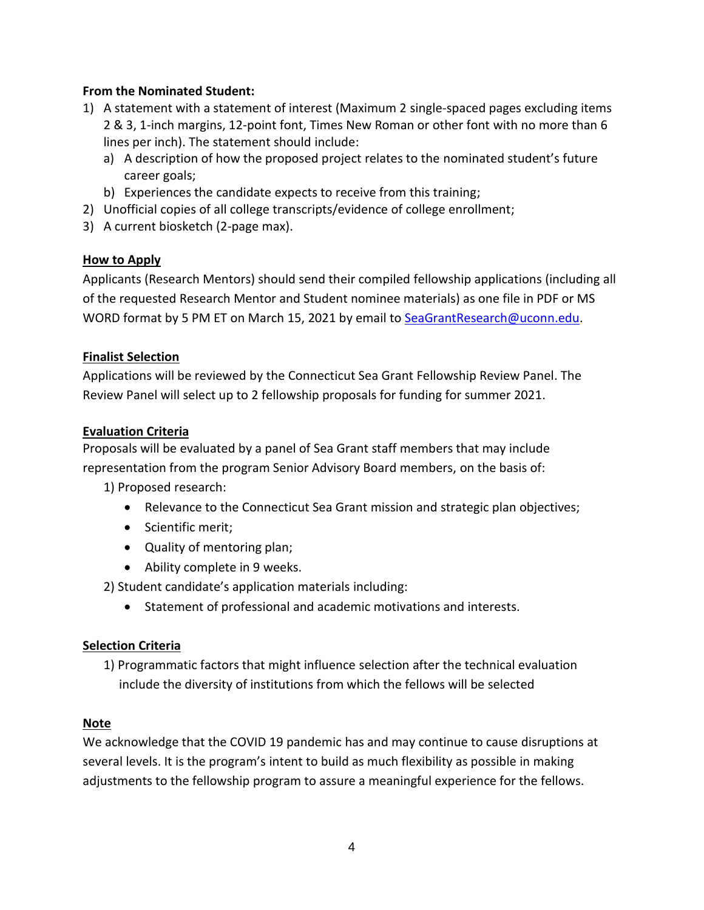### **From the Nominated Student:**

- 1) A statement with a statement of interest (Maximum 2 single-spaced pages excluding items 2 & 3, 1-inch margins, 12-point font, Times New Roman or other font with no more than 6 lines per inch). The statement should include:
	- a) A description of how the proposed project relates to the nominated student's future career goals;
	- b) Experiences the candidate expects to receive from this training;
- 2) Unofficial copies of all college transcripts/evidence of college enrollment;
- 3) A current biosketch (2-page max).

#### **How to Apply**

Applicants (Research Mentors) should send their compiled fellowship applications (including all of the requested Research Mentor and Student nominee materials) as one file in PDF or MS WORD format by 5 PM ET on March 15, 2021 by email to [SeaGrantResearch@uconn.edu.](mailto:Research@uconn.edu)

#### **Finalist Selection**

Applications will be reviewed by the Connecticut Sea Grant Fellowship Review Panel. The Review Panel will select up to 2 fellowship proposals for funding for summer 2021.

#### **Evaluation Criteria**

Proposals will be evaluated by a panel of Sea Grant staff members that may include representation from the program Senior Advisory Board members, on the basis of:

1) Proposed research:

- Relevance to the Connecticut Sea Grant mission and strategic plan objectives;
- Scientific merit;
- Quality of mentoring plan;
- Ability complete in 9 weeks.

2) Student candidate's application materials including:

• Statement of professional and academic motivations and interests.

#### **Selection Criteria**

1) Programmatic factors that might influence selection after the technical evaluation include the diversity of institutions from which the fellows will be selected

#### **Note**

We acknowledge that the COVID 19 pandemic has and may continue to cause disruptions at several levels. It is the program's intent to build as much flexibility as possible in making adjustments to the fellowship program to assure a meaningful experience for the fellows.